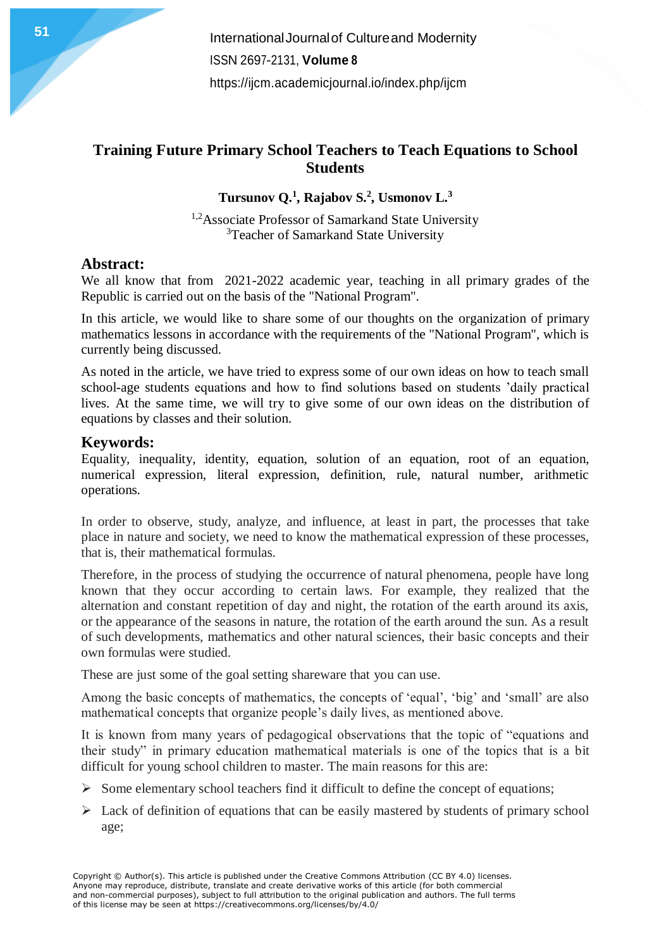# **Training Future Primary School Teachers to Teach Equations to School Students**

**Tursunov Q.<sup>1</sup> , Rajabov S.<sup>2</sup> , Usmonov L.<sup>3</sup>**

<sup>1,2</sup>Associate Professor of Samarkand State University <sup>3</sup>Teacher of Samarkand State University

# **Abstract:**

We all know that from 2021-2022 academic year, teaching in all primary grades of the Republic is carried out on the basis of the "National Program".

In this article, we would like to share some of our thoughts on the organization of primary mathematics lessons in accordance with the requirements of the "National Program", which is currently being discussed.

As noted in the article, we have tried to express some of our own ideas on how to teach small school-age students equations and how to find solutions based on students 'daily practical lives. At the same time, we will try to give some of our own ideas on the distribution of equations by classes and their solution.

# **Keywords:**

Equality, inequality, identity, equation, solution of an equation, root of an equation, numerical expression, literal expression, definition, rule, natural number, arithmetic operations.

In order to observe, study, analyze, and influence, at least in part, the processes that take place in nature and society, we need to know the mathematical expression of these processes, that is, their mathematical formulas.

Therefore, in the process of studying the occurrence of natural phenomena, people have long known that they occur according to certain laws. For example, they realized that the alternation and constant repetition of day and night, the rotation of the earth around its axis, or the appearance of the seasons in nature, the rotation of the earth around the sun. As a result of such developments, mathematics and other natural sciences, their basic concepts and their own formulas were studied.

These are just some of the goal setting shareware that you can use.

Among the basic concepts of mathematics, the concepts of 'equal', 'big' and 'small' are also mathematical concepts that organize people's daily lives, as mentioned above.

It is known from many years of pedagogical observations that the topic of "equations and their study" in primary education mathematical materials is one of the topics that is a bit difficult for young school children to master. The main reasons for this are:

- $\triangleright$  Some elementary school teachers find it difficult to define the concept of equations;
- $\triangleright$  Lack of definition of equations that can be easily mastered by students of primary school age;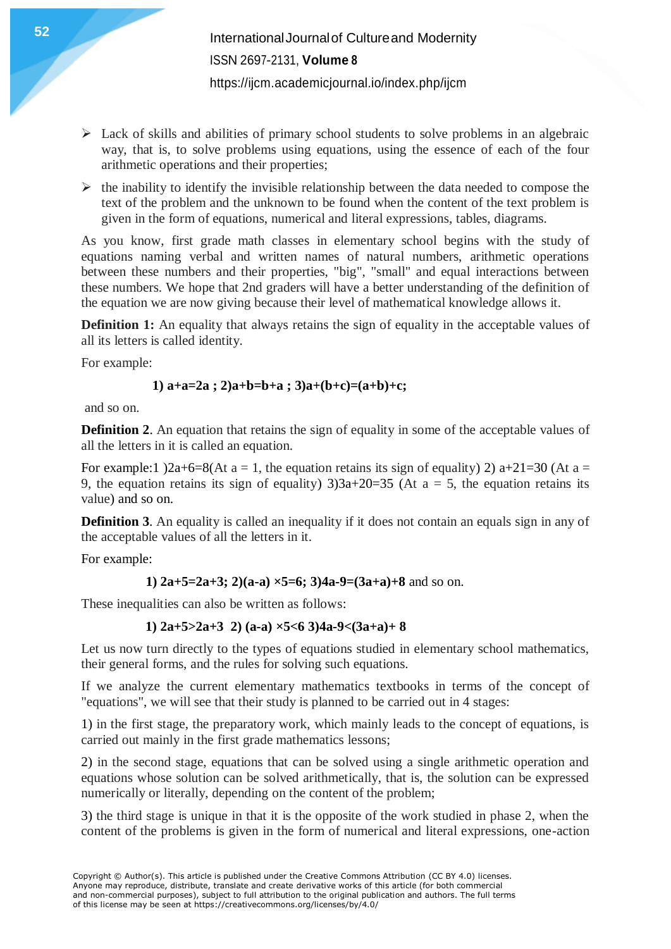- $\triangleright$  Lack of skills and abilities of primary school students to solve problems in an algebraic way, that is, to solve problems using equations, using the essence of each of the four arithmetic operations and their properties;
- $\triangleright$  the inability to identify the invisible relationship between the data needed to compose the text of the problem and the unknown to be found when the content of the text problem is given in the form of equations, numerical and literal expressions, tables, diagrams.

As you know, first grade math classes in elementary school begins with the study of equations naming verbal and written names of natural numbers, arithmetic operations between these numbers and their properties, "big", "small" and equal interactions between these numbers. We hope that 2nd graders will have a better understanding of the definition of the equation we are now giving because their level of mathematical knowledge allows it.

**Definition 1:** An equality that always retains the sign of equality in the acceptable values of all its letters is called identity.

For example:

## **1) a+a=2a ; 2)a+b=b+a ; 3)a+(b+c)=(a+b)+c;**

and so on.

**Definition 2.** An equation that retains the sign of equality in some of the acceptable values of all the letters in it is called an equation.

For example:1 )2a+6=8(At a = 1, the equation retains its sign of equality) 2) a+21=30 (At a = 9, the equation retains its sign of equality)  $3)3a+20=35$  (At  $a = 5$ , the equation retains its value) and so on.

**Definition 3.** An equality is called an inequality if it does not contain an equals sign in any of the acceptable values of all the letters in it.

For example:

## **1) 2a+5=2a+3; 2)(a-a) ×5=6; 3)4a-9=(3a+a)+8** and so on.

These inequalities can also be written as follows:

### **1) 2a+5>2a+3 2) (a-a) ×5<6 3)4a-9<(3a+a)+ 8**

Let us now turn directly to the types of equations studied in elementary school mathematics, their general forms, and the rules for solving such equations.

If we analyze the current elementary mathematics textbooks in terms of the concept of "equations", we will see that their study is planned to be carried out in 4 stages:

1) in the first stage, the preparatory work, which mainly leads to the concept of equations, is carried out mainly in the first grade mathematics lessons;

2) in the second stage, equations that can be solved using a single arithmetic operation and equations whose solution can be solved arithmetically, that is, the solution can be expressed numerically or literally, depending on the content of the problem;

3) the third stage is unique in that it is the opposite of the work studied in phase 2, when the content of the problems is given in the form of numerical and literal expressions, one-action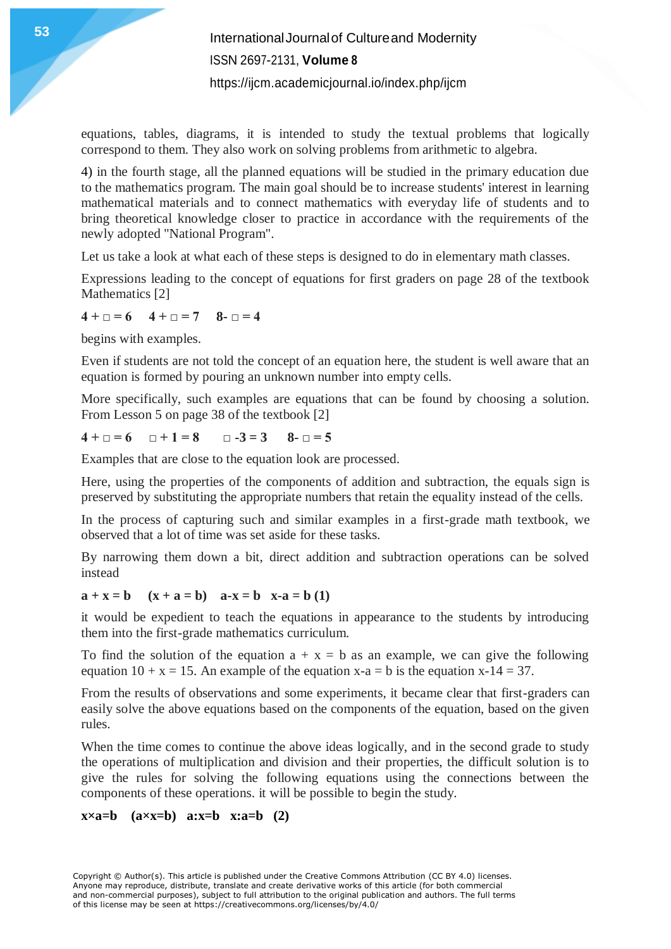**International Journal of Cultureand Modernity** ISSN 2697-2131, **Volume 8** <https://ijcm.academicjournal.io/index.php/ijcm>

equations, tables, diagrams, it is intended to study the textual problems that logically correspond to them. They also work on solving problems from arithmetic to algebra.

4) in the fourth stage, all the planned equations will be studied in the primary education due to the mathematics program. The main goal should be to increase students' interest in learning mathematical materials and to connect mathematics with everyday life of students and to bring theoretical knowledge closer to practice in accordance with the requirements of the newly adopted "National Program".

Let us take a look at what each of these steps is designed to do in elementary math classes.

Expressions leading to the concept of equations for first graders on page 28 of the textbook Mathematics [2]

 $4 + \square = 6$   $4 + \square = 7$   $8 - \square = 4$ 

begins with examples.

Even if students are not told the concept of an equation here, the student is well aware that an equation is formed by pouring an unknown number into empty cells.

More specifically, such examples are equations that can be found by choosing a solution. From Lesson 5 on page 38 of the textbook [2]

 $4 + \square = 6$   $\square + 1 = 8$   $\square -3 = 3$   $8 - \square = 5$ 

Examples that are close to the equation look are processed.

Here, using the properties of the components of addition and subtraction, the equals sign is preserved by substituting the appropriate numbers that retain the equality instead of the cells.

In the process of capturing such and similar examples in a first-grade math textbook, we observed that a lot of time was set aside for these tasks.

By narrowing them down a bit, direct addition and subtraction operations can be solved instead

#### $a + x = b$   $(x + a = b)$   $a-x = b$   $x-a = b (1)$

it would be expedient to teach the equations in appearance to the students by introducing them into the first-grade mathematics curriculum.

To find the solution of the equation  $a + x = b$  as an example, we can give the following equation  $10 + x = 15$ . An example of the equation  $x-a = b$  is the equation  $x-14 = 37$ .

From the results of observations and some experiments, it became clear that first-graders can easily solve the above equations based on the components of the equation, based on the given rules.

When the time comes to continue the above ideas logically, and in the second grade to study the operations of multiplication and division and their properties, the difficult solution is to give the rules for solving the following equations using the connections between the components of these operations. it will be possible to begin the study.

### **x×a=b (a×x=b) a:x=b x:a=b (2)**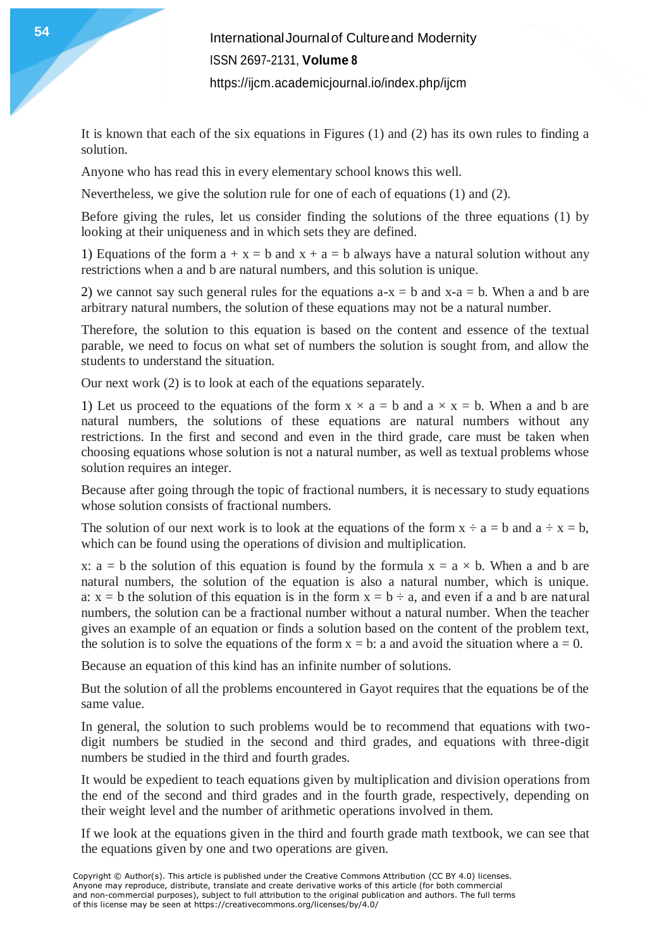It is known that each of the six equations in Figures (1) and (2) has its own rules to finding a solution.

Anyone who has read this in every elementary school knows this well.

Nevertheless, we give the solution rule for one of each of equations (1) and (2).

Before giving the rules, let us consider finding the solutions of the three equations (1) by looking at their uniqueness and in which sets they are defined.

1) Equations of the form  $a + x = b$  and  $x + a = b$  always have a natural solution without any restrictions when a and b are natural numbers, and this solution is unique.

2) we cannot say such general rules for the equations  $a-x = b$  and  $x-a = b$ . When a and b are arbitrary natural numbers, the solution of these equations may not be a natural number.

Therefore, the solution to this equation is based on the content and essence of the textual parable, we need to focus on what set of numbers the solution is sought from, and allow the students to understand the situation.

Our next work (2) is to look at each of the equations separately.

1) Let us proceed to the equations of the form  $x \times a = b$  and  $a \times x = b$ . When a and b are natural numbers, the solutions of these equations are natural numbers without any restrictions. In the first and second and even in the third grade, care must be taken when choosing equations whose solution is not a natural number, as well as textual problems whose solution requires an integer.

Because after going through the topic of fractional numbers, it is necessary to study equations whose solution consists of fractional numbers.

The solution of our next work is to look at the equations of the form  $x \div a = b$  and  $a \div x = b$ , which can be found using the operations of division and multiplication.

x:  $a = b$  the solution of this equation is found by the formula  $x = a \times b$ . When a and b are natural numbers, the solution of the equation is also a natural number, which is unique. a:  $x = b$  the solution of this equation is in the form  $x = b \div a$ , and even if a and b are natural numbers, the solution can be a fractional number without a natural number. When the teacher gives an example of an equation or finds a solution based on the content of the problem text, the solution is to solve the equations of the form  $x = b$ : a and avoid the situation where  $a = 0$ .

Because an equation of this kind has an infinite number of solutions.

But the solution of all the problems encountered in Gayot requires that the equations be of the same value.

In general, the solution to such problems would be to recommend that equations with twodigit numbers be studied in the second and third grades, and equations with three-digit numbers be studied in the third and fourth grades.

It would be expedient to teach equations given by multiplication and division operations from the end of the second and third grades and in the fourth grade, respectively, depending on their weight level and the number of arithmetic operations involved in them.

If we look at the equations given in the third and fourth grade math textbook, we can see that the equations given by one and two operations are given.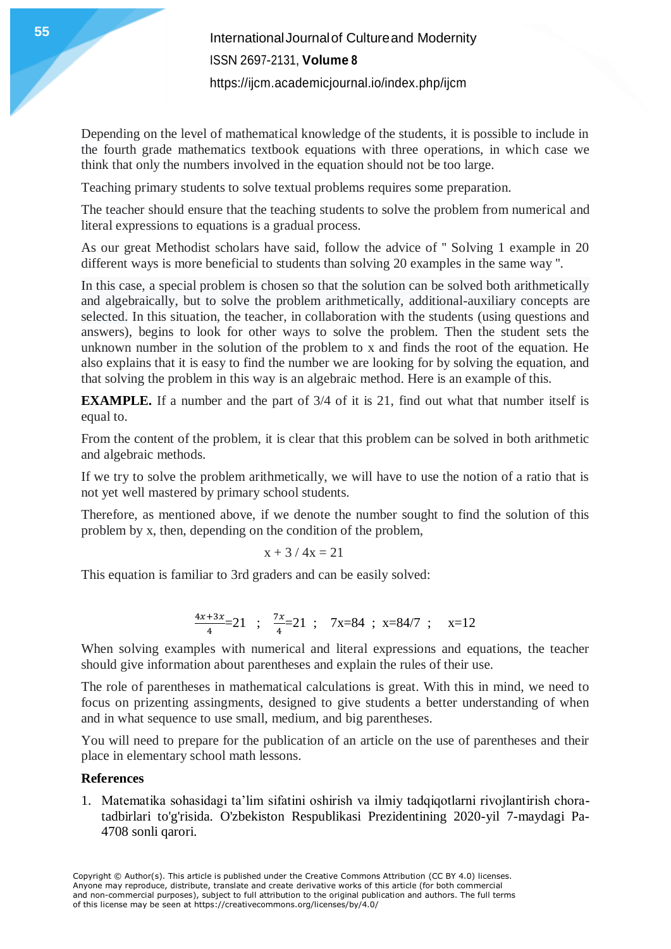**International Journal of Cultureand Modernity** ISSN 2697-2131, **Volume 8** <https://ijcm.academicjournal.io/index.php/ijcm>

Depending on the level of mathematical knowledge of the students, it is possible to include in the fourth grade mathematics textbook equations with three operations, in which case we think that only the numbers involved in the equation should not be too large.

Teaching primary students to solve textual problems requires some preparation.

The teacher should ensure that the teaching students to solve the problem from numerical and literal expressions to equations is a gradual process.

As our great Methodist scholars have said, follow the advice of '' Solving 1 example in 20 different ways is more beneficial to students than solving 20 examples in the same way ''.

In this case, a special problem is chosen so that the solution can be solved both arithmetically and algebraically, but to solve the problem arithmetically, additional-auxiliary concepts are selected. In this situation, the teacher, in collaboration with the students (using questions and answers), begins to look for other ways to solve the problem. Then the student sets the unknown number in the solution of the problem to x and finds the root of the equation. He also explains that it is easy to find the number we are looking for by solving the equation, and that solving the problem in this way is an algebraic method. Here is an example of this.

**EXAMPLE.** If a number and the part of 3/4 of it is 21, find out what that number itself is equal to.

From the content of the problem, it is clear that this problem can be solved in both arithmetic and algebraic methods.

If we try to solve the problem arithmetically, we will have to use the notion of a ratio that is not yet well mastered by primary school students.

Therefore, as mentioned above, if we denote the number sought to find the solution of this problem by x, then, depending on the condition of the problem,

$$
x + 3 / 4x = 21
$$

This equation is familiar to 3rd graders and can be easily solved:

$$
\frac{4x+3x}{4} = 21 \quad ; \quad \frac{7x}{4} = 21 \quad ; \quad 7x = 84 \quad ; \quad x = 84/7 \quad ; \quad x = 12
$$

When solving examples with numerical and literal expressions and equations, the teacher should give information about parentheses and explain the rules of their use.

The role of parentheses in mathematical calculations is great. With this in mind, we need to focus on prizenting assingments, designed to give students a better understanding of when and in what sequence to use small, medium, and big parentheses.

You will need to prepare for the publication of an article on the use of parentheses and their place in elementary school math lessons.

### **References**

1. Matematika sohasidagi ta'lim sifatini oshirish va ilmiy tadqiqotlarni rivojlantirish choratadbirlari to'g'risida. O'zbekiston Respublikasi Prezidentining 2020-yil 7-maydagi Pa-4708 sonli qarori.